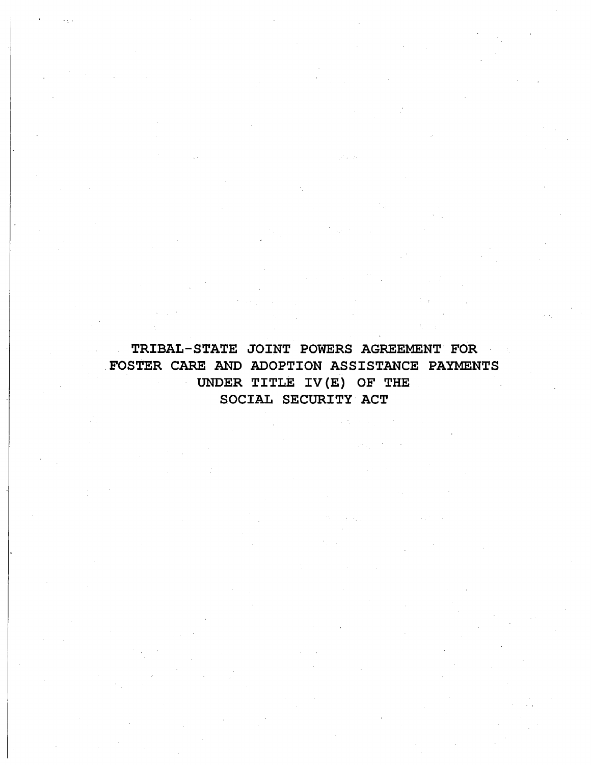TRIBAL-STATE JOINT POWERS AGREEMENT FOR .FOSTER CARE AND ADOPTION ASSISTANCE PAYMENTS UNDER TITLE IV(E) OF THE SOCIAL SECURITY ACT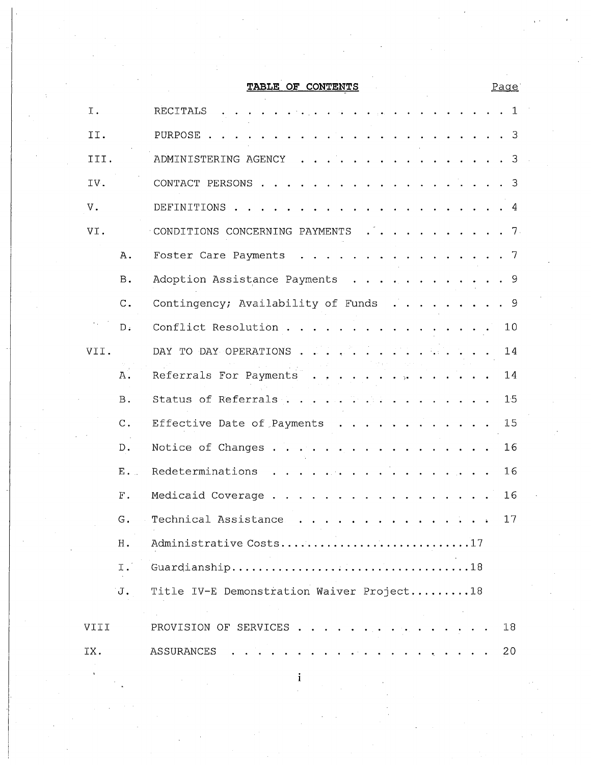**TABLE OF CONTENTS**

| Ι.   |                | <b>RECITALS</b><br>1                                                                                                                                                                                                                                            |
|------|----------------|-----------------------------------------------------------------------------------------------------------------------------------------------------------------------------------------------------------------------------------------------------------------|
| II.  |                | PURPOSE.<br>-3                                                                                                                                                                                                                                                  |
| III. |                | ADMINISTERING AGENCY<br>-3<br>$\mathbf{r}$ , $\mathbf{r}$ , $\mathbf{r}$ , $\mathbf{r}$                                                                                                                                                                         |
| IV.  |                | CONTACT PERSONS<br>3                                                                                                                                                                                                                                            |
| V.   |                | DEFINITIONS .<br>4                                                                                                                                                                                                                                              |
| VI.  |                | CONDITIONS CONCERNING PAYMENTS<br>-7.<br>$\mathbf{r} = \mathbf{r} + \mathbf{r}$                                                                                                                                                                                 |
|      | Α.             | Foster Care Payments<br>-7<br>$\mathbf{r}$ . The set of the set of the set of the set of the set of the set of the set of the set of the set of the set of the set of the set of the set of the set of the set of the set of the set of the set of the set of t |
|      | Β.             | Adoption Assistance Payments<br>9<br>$\cdots$<br>$\cdot$ $\cdot$ $\cdot$                                                                                                                                                                                        |
|      | $\mathrm{C}$ . | Contingency; Availability of Funds<br>- 9<br>عانوا والوالوا والوائو                                                                                                                                                                                             |
|      | D:             | Conflict Resolution<br>10                                                                                                                                                                                                                                       |
| VII. |                | DAY TO DAY OPERATIONS.<br>14                                                                                                                                                                                                                                    |
|      | Α.             | Referrals For Payments<br>14<br>$\rightarrow$                                                                                                                                                                                                                   |
|      | <b>B</b> .     | Status of Referrals<br>15                                                                                                                                                                                                                                       |
|      | $C$ .          | 15<br>Effective Date of Payments                                                                                                                                                                                                                                |
|      | D.             | Notice of Changes<br>16<br>$\sim$                                                                                                                                                                                                                               |
|      | E.             | Redeterminations<br>16                                                                                                                                                                                                                                          |
|      | ${\rm F}$ .    | 16<br>Medicaid Coverage                                                                                                                                                                                                                                         |
|      | G.             | Technical Assistance<br>17                                                                                                                                                                                                                                      |
|      | H .            | Administrative Costs17                                                                                                                                                                                                                                          |
|      | Ι.             |                                                                                                                                                                                                                                                                 |
|      | Ū.             | Title IV-E Demonstration Waiver Project18                                                                                                                                                                                                                       |
| VIII |                | PROVISION OF SERVICES<br>18                                                                                                                                                                                                                                     |
| IX.  |                | 20<br>ASSURANCES<br>a cardinal and a cardinal and                                                                                                                                                                                                               |

Page"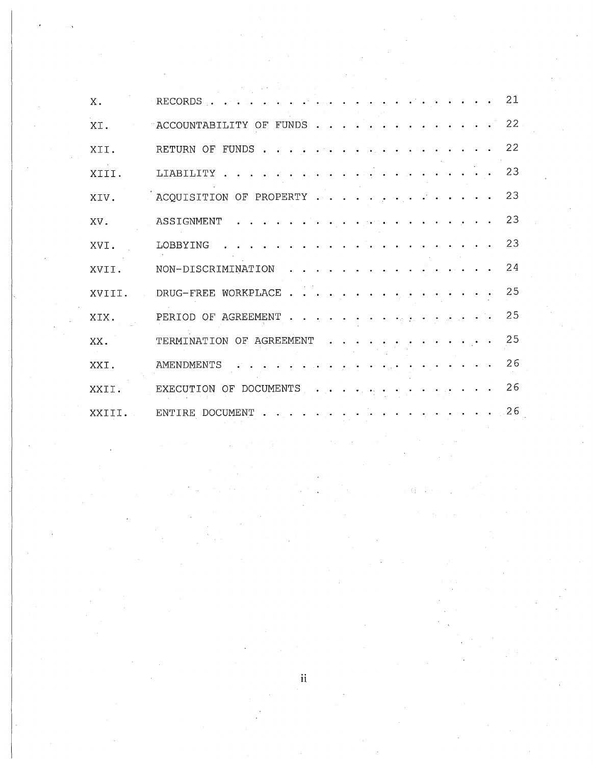| Χ.     | RECORDS.<br>and the state of the state of the state of the state of the state of the state of the state of the state of the | 21 |
|--------|-----------------------------------------------------------------------------------------------------------------------------|----|
| XI.    | $\mathbf{r}$ , $\mathbf{r}$ , $\mathbf{r}$ , $\mathbf{r}$ , $\mathbf{r}$<br>ACCOUNTABILITY OF FUNDS                         | 22 |
| XII.   | RETURN OF FUNDS                                                                                                             | 22 |
| XIII.  | المعارفة القارعات والمتناعي والمنابع والمنابع والمنابع والمنابع<br>LIABILITY                                                | 23 |
| XIV.   | ACQUISITION OF PROPERTY                                                                                                     | 23 |
| XV.    | ASSIGNMENT                                                                                                                  | 23 |
| XVI.   | LOBBYING                                                                                                                    | 23 |
| XVII.  | NON-DISCRIMINATION                                                                                                          | 24 |
| XVIII. | DRUG-FREE WORKPLACE                                                                                                         | 25 |
| XIX.   | PERIOD OF AGREEMENT                                                                                                         | 25 |
| XX.    | TERMINATION OF AGREEMENT                                                                                                    | 25 |
| XXI.   | AMENDMENTS<br>فالعامل والمنافرة والموارد ويرفانها<br>المنابط المنابطين منابعات                                              | 26 |
| XXII.  | EXECUTION OF DOCUMENTS                                                                                                      | 26 |
| XXTTI. | ENTIRE DOCUMENT.<br>$\mathbf{r} = \mathbf{r} + \mathbf{r} + \mathbf{r} + \mathbf{r}$                                        | 26 |

 $\mathbf{ii}$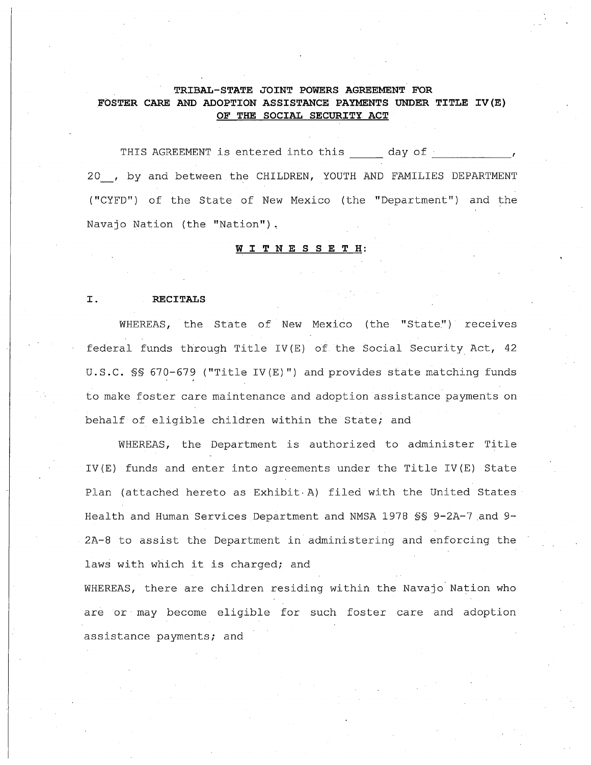# **TRIBAL-STATE JOINT POWERS AGREEMENT FOR FOSTER CARE AND ADOPTION ASSISTANCE PAYMENTS UNDER TITLE IV(E) OF THE SOCIAL SECURITY ACT**

THIS AGREEMENT is entered into this \_\_\_\_ day of \_\_\_\_\_\_\_\_ 20 , by and between the CHILDREN, YOUTH AND FAMILIES DEPARTMENT ("CYFD") of the State of New Mexico (the "Department") and the Navajo Nation (the "Nation").

#### WIT N E SSE **<sup>T</sup> H:**

#### I. **RECITALS**

WHEREAS, the State of New Mexico (the "State") receives federal funds through Title IV(E) of the Social Security Act, <sup>42</sup> **U.S.C.** §§ 670-679 ("Title IV(E)") and provides state matching funds to make foster care maintenance and adoption assistance payments on behalf of eligible children within the State; and

WHEREAS, the Department is authorized to administer Title IV(E) funds and enter into agreements under the Title IV(E) State Plan (attached hereto as Exhibit, A) filed with the United States Health and Human Services Department and NMSA 1978 SS 9-2A-7 and 9-2A-8 to assist the Department in administering and enforcing the laws with which it is charged; and

WHEREAS, there are children residing within the Navajo Nation who are or may become eligible for such foster care and adoption assistance payments; and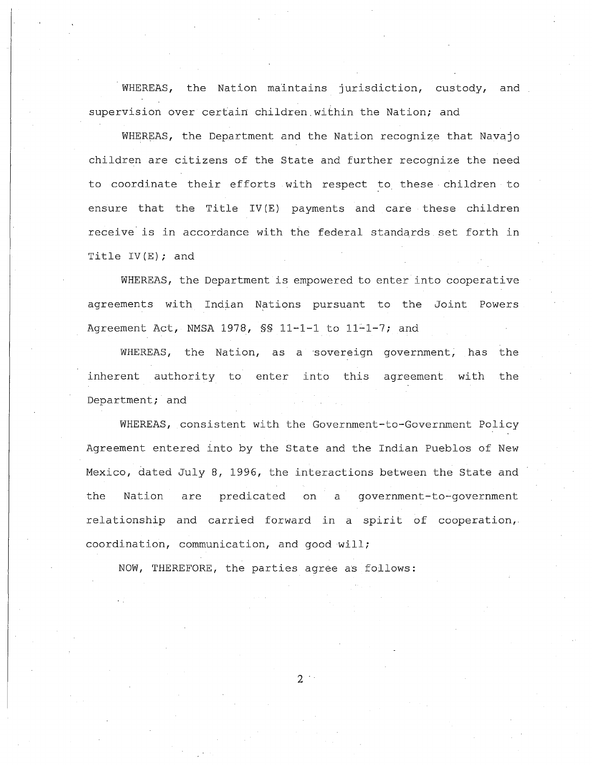WHEREAS, the Nation maintains jurisdiction, custody, and supervision over certain children, within the Nation; and

WHEREAS, the Department and the Nation recognize that Navajo children are citizens of the State and further recognize the need to coordinate their efforts with respect to these children to ensure that the Title IV (E) payments and care these children receive' is in accordance with the federal standards set forth in Title  $IV(E)$ ; and

WHEREAS, the Department is empowered to enter into cooperative agreements with Indian Nations pursuant to the Joint Powers Agreement Act, NMSA 1978,  $\frac{1}{5}$  11-1-1 to 11-1-7; and

WHEREAS, the Nation, as a sovereign government, has the inherent authority to enter into this agreement with the Department; and

WHEREAS, consistent with the Government-to-Government Policy Agreement entered into by the State and the Indian Pueblos of New Mexico, dated July 8, 1996, the interactions between the State and the Nation are predicated on a government-to-government relationship and carried forward in <sup>a</sup> spirit of cooperation, coordination, communication, and good will;

NOW, THEREFORE, the parties agree as follows:

 $2<sup>1</sup>$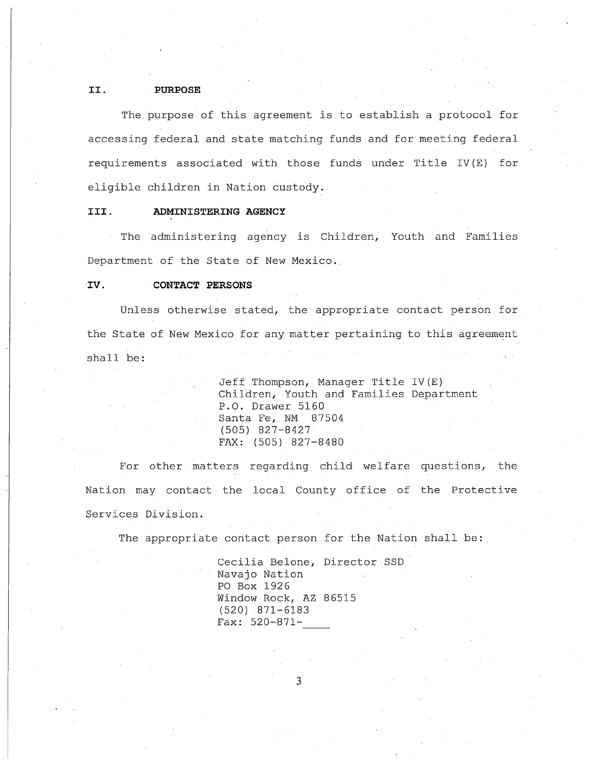### **II. PURPOSE**

The purpose of this agreement is to establish <sup>a</sup> protocol for accessing federal and state matching funds and for meeting federal requirements associated with those funds under Title IV (E) for eligible children in Nation custody.

# **III. ADMINISTERING AGENCY**

The administering agency is Children, Youth and Families Department of the State of New Mexico.

### **IV. CONTACT PERSONS**

Unless otherwise stated, the appropriate contact person for the State of New Mexico for any matter pertaining to this agreement shall **be:**

> Jeff Thompson, Manager Title IV(E) Children, Youth and Families Department **P.O.** Drawer 5160 Santa Fe, NM 87504 (505) 827-8427 FAX: (505) 827-8480

For other matters regarding child welfare questions, the Nation may contact the local County office of the Protective Services Division.

The appropriate contact person for the Nation shall be:

Cecilia Belone, Director SSD Navajo Nation PO Box 1926 Window Rock, AZ 86515 (520) 871-6183 Fax: 520-871-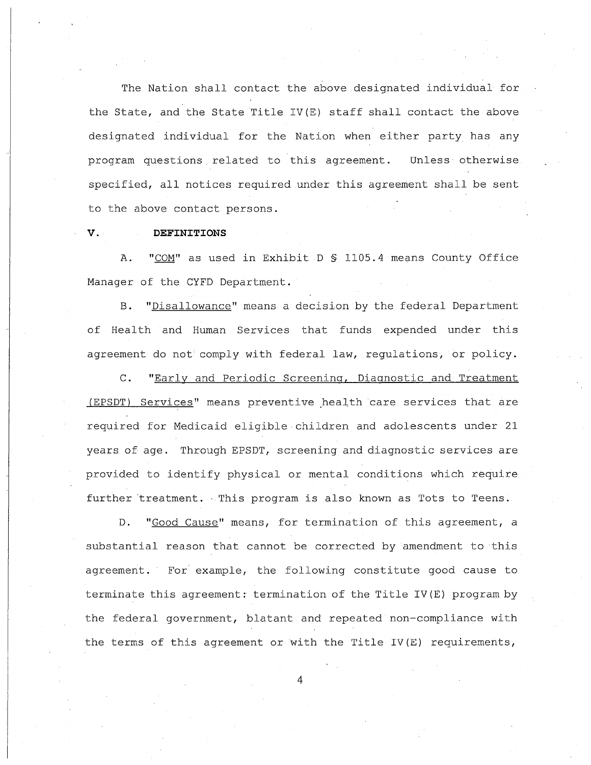The Nation shall contact the above designated individual for the State, and the State Title IV(E) staff shall contact the above designated individual for the Nation when either party has any program questions related to this agreement. Unless· otherwise specified, all notices required under this agreement shall be sent to the above contact persons.

#### **v. DEFINITIONS**

A. "COM" as used in Exhibit D \$ 1105.4 means County Office Manager of the CYFD Department.

B. "Disallowance" means a decision by the federal Department of Health and Human Services that funds expended under this agreement do not comply with federal law, regulations, or policy.

C. "Early and Periodic Screening, Diagnostic and Treatment (EPSDT) Services" means preventive health care services that are required for Medicaid eligible children and adolescents under 21 years of age. Through EPSDT, screening and diagnostic services are provided to identify physical or mental conditions which require further treatment. This program is also known as Tots to Teens.

D. "Good Cause" means, for termination of this agreement, <sup>a</sup> substantial reason that cannot be corrected by amendment to this agreement. For example, the following constitute good cause to terminate this agreement: termination of the Title IV(E) program by the federal government, blatant and repeated non-compliance with the terms of this agreement or with the Title IV(E) requirements,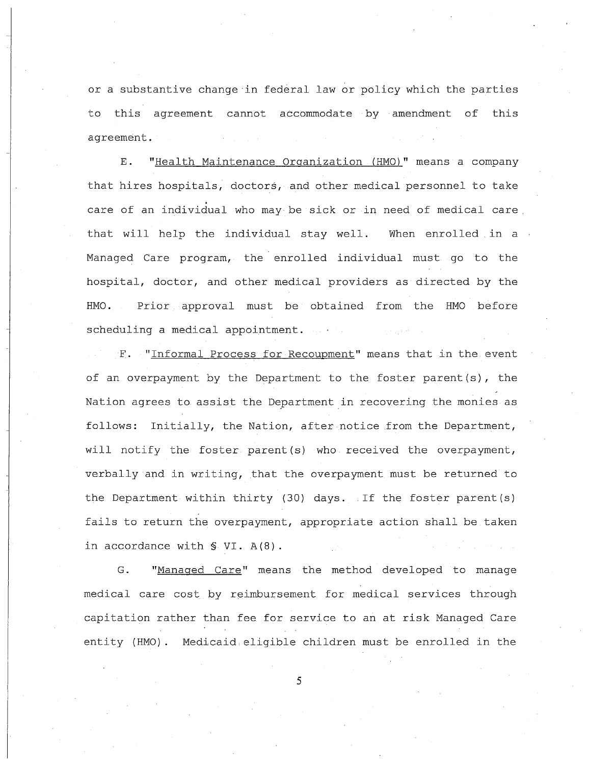or <sup>a</sup> substantive change in federal law or policy which the parties to this agreement cannot accommodate by amendment of this agreement.

E. "Health Maintenance Organization. (HMO)" means a company that hires hospitals, doctors, and other medical personnel to take care of an individual who may be sick or in need of medical care. that will help the individual stay well. When enrolled in a Managed Care program, the enrolled individual must go to the hospital, doctor, and other medical providers as directed by the HMO. Prior approval must be obtained from the HMO before scheduling a medical appointment.

F. "Informal Process for Recoupment" means that in the event of an overpayment by the Department to the foster parent(s), the Nation agrees to assist the Department in recovering the monies as follows: Initially, the Nation, after notice .from the Department, will notify the foster parent (s) who received the overpayment, verbally and in writing, that the overpayment must be returned to the Department within thirty (30) days. If the foster parent(s) fails to return the overpayment, appropriate action shall be taken in accordance with §. VI. A(S).

G. "Managed Care" means the method developed to manage medical care cost by reimbursement for medical services through capitation rather than fee for service to an at risk Managed Care entity (HMO). Medicaid eligible children must be enrolled in the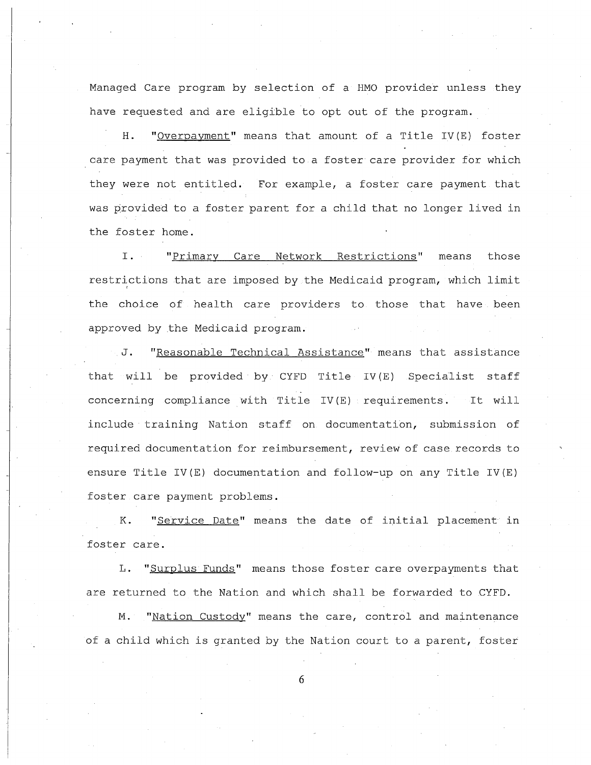Managed Care program by selection of a HMO provider unless they have requested and are eligible to opt out of the program.

**H.** "Overpayment" means that amount of <sup>a</sup> Title IV(E) foster care payment that was provided to <sup>a</sup> foster care provider for which they were not entitled. For example, <sup>a</sup> foster care payment that was provided to <sup>a</sup> foster parent for <sup>a</sup> child that no longer lived in the foster home.

1. "Primary Care Network Restrictions" means those restrictions that are imposed by the Medicaid program, which limit the choice of health care providers to those that have been approved by the Medicaid program.

**J.** "Reasonable Technical Assistance" means that assistance that will be provided by CYFD Title IV(E) Specialist staff concerning compliance with Title IV(E) requirements. It will include training Nation staff on documentation, submission of required documentation for reimbursement, review of case records to ensure Title IV(E) documentation and follow-up on any Title IV(E) foster care payment problems.

**K.** "Service Date" means the date of initial placement in foster care.

L. "Surplus Funds" means those foster care overpayments that are returned to the Nation and which shall be forwarded to CYFD.

**M.** "Nation Custody" means the care, control and maintenance of <sup>a</sup> child which is granted by the Nation court to <sup>a</sup> parent, foster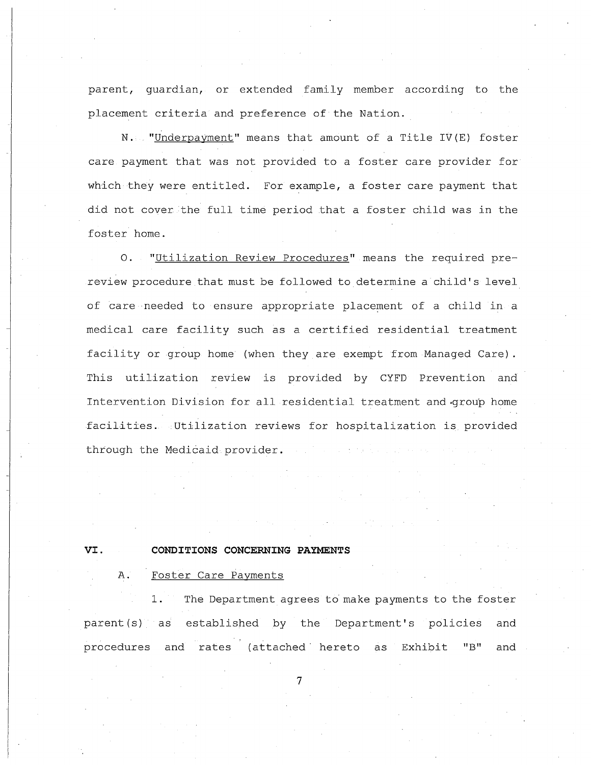parent, guardian, or extended family member according to the placement criteria and preference of the Nation.

N. Junderpayment" means that amount of a Title IV(E) foster care payment that was not provided to a foster care provider for which they were entitled. For example, a foster care payment that did not cover the full time period that a foster child was in the foster home.

"Utilization Review Procedures" means the required pre- $O<sub>1</sub>$ review procedure that must be followed to determine a child's level of care needed to ensure appropriate placement of a child in a medical care facility such as a certified residential treatment facility or group home (when they are exempt from Managed Care). This utilization review is provided by CYFD Prevention and Intervention Division for all residential treatment and group home facilities. Utilization reviews for hospitalization is provided through the Medicaid provider.

# **VI. CONDITIONS CONCERNING PAYMENTS**

# **A.** Foster Care Payments

1. The Department agrees to make payments to the foster parent(s) as established by the Department's policies and procedures and rates (attached" hereto as Exhibit **"B"** and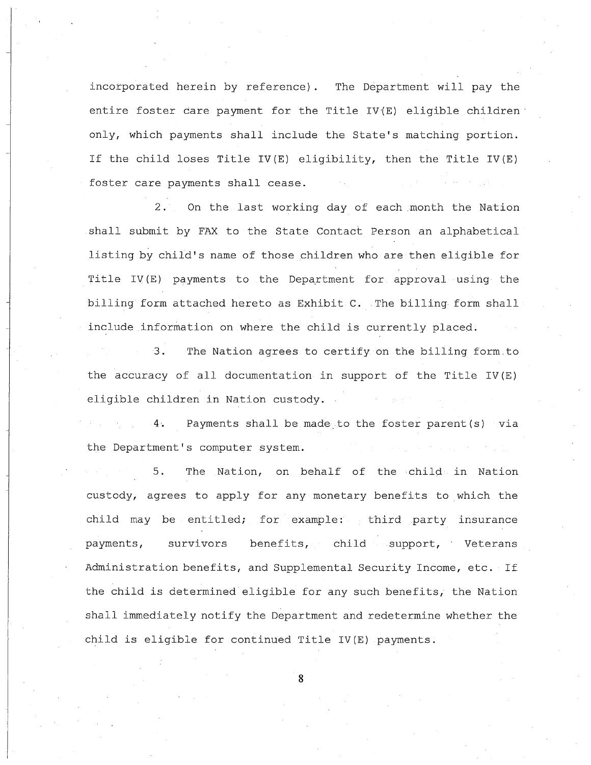incorporated herein by reference). The Department will pay the entire foster care payment for the Title IV'(E) eligible children' only, which payments shall include the State's matching portion. If the child loses Title IV(E) eligibility, then the Title IV(E) foster care payments shall cease.

2. On the last working day of each month the Nation shall submit by FAX to the State Contact Person an alphabetical listing by child's name of those children who are then eligible for Title IV(E) payments to the Department for approval using the billing form attached hereto as Exhibit C. The billing form shall include information on where the child is currently placed.

3. The Nation agrees to certify on the billing form.to the accuracy of all documentation in support of the Title IV(E) eligible children in Nation custody.

**4.** Payments shall be made. to the foster parent(s) via the Department's computer system.

5. The Nation, on behalf of the child in Nation custody, agrees to apply for any' monetary benefits to which the child may be entitled; for example: third party insurance payments, survivors benefits, child support, Veterans Administration benefits, and Supplemental Security Income, etc. If the child is determined eligible for any such benefits, the Nation shall immediately notify the Department and redetermine whether the child is eligible for continued Title IV(E) payments.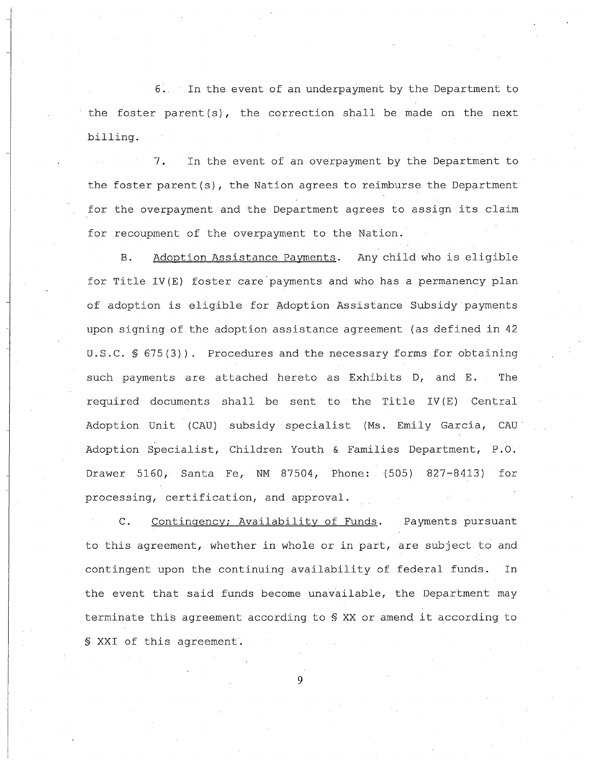6~ In the event of an underpayment by the Department to the foster parent  $(s)$ , the correction shall be made on the next billing.

7. In the event of an overpayment by the Department to the foster parent(s), the Nation agrees to reimburse the Department for the overpayment and the Department agrees to assign its claim for recoupment of the overpayment to the Nation.

B. Adoption Assistance Payments. Any child who is eligible for Title IV(E) foster care'payments and who has <sup>a</sup> permanency plan of adoption is eligible for Adoption Assistance Subsidy payments upon signing of the adoption assistance agreement (as defined in <sup>42</sup> U.S.C.  $\{5\}$  675(3)). Procedures and the necessary forms for obtaining such payments are attached hereto as Exhibits D, and E. The required documents shall be sent to the Title IV(E) Central Adoption Unit (CAU) subsidy specialist (Ms. Emily Garcia, CAU' Adoption Specialist, Children Youth & Families Department, P.O. Drawer 5160, Santa Fe, NM 87504, Phone: (505) 827-8413) for processing, certification, and approval.

C. Contingency; Availability of Funds. Payments pursuant to this agreement, whether in whole or in part, are subject to and contingent upon the continuing availability of federal funds. In the event that said funds become unavailable, the Department may terminate this agreement according to § XX or amend it according to § XXI of this agreement.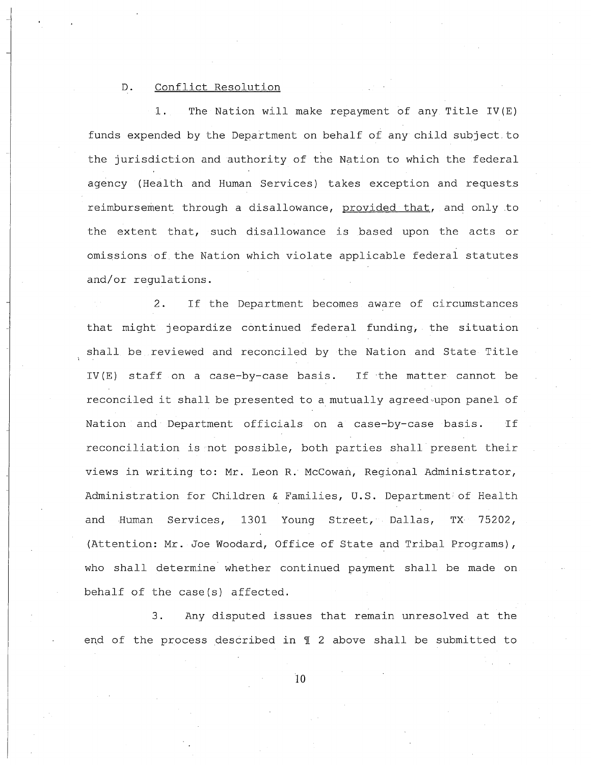### D. Conflict Resolution

1. The Nation will make repayment of any Title IV(E) funds expended by the Department on behalf of any child subject to the jurisdiction and authority of the Nation to which the federal agency (Health and Human Services) takes exception and requests reimbursement through a disallowance, provided that, and only to the extent that, such disallowance is based upon the acts or omissions of the Nation which violate applicable federal statutes and/or regulations.

2. If the Department becomes aware of circumstances that might jeopardize continued federal funding, the situation shall be reviewed and reconciled by the Nation and State Title IV (E) staff on <sup>a</sup> case-by-case basis. If the matter cannot be reconciled it shall be presented to a mutually agreed upon panel of Nation and Department officials on <sup>a</sup> case-by-case basis. If reconciliation is not possible, both parties shall present their views in writing to: Mr. Leon R. McCowan, Regional Administrator, Administration for Children & Families, u.S. Department of Health and Human Services, 1301 Young Street, Dallas, TX 75202, (Attention: Mr. Joe Woodard, Office of State and Tribal Programs), who shall determine whether continued payment shall be made on behalf of the case(s) affected.

3. Any disputed issues that remain unresolved at the end of the process described in  $\mathbb I$  2 above shall be submitted to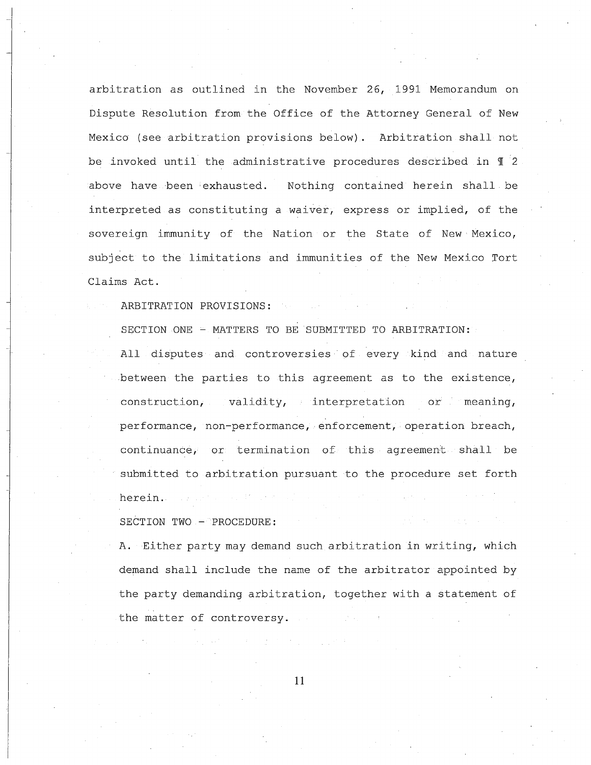arbitration as outlined in the November 26, 1991 Memorandum on Dispute Resolution from the Office of the Attorney General of New Mexico (see arbitration provisions below). Arbitration shall not be invoked until the administrative procedures described in  $\P$  2 above have been exhausted. Nothing contained herein shall be interpreted as constituting a waiver, express or implied, of the sovereign immunity of the Nation or the State of New Mexico, subject to the limitations and immunities of the New Mexico Tort Claims Act.

ARBITRATION PROVISIONS:

SECTION ONE - MATTERS TO BE SUBMITTED TO ARBITRATION:

All disputes and controversies· of every kind and nature between the parties to this agreement as to the existence, construction, validity, interpretation or meaning, performance, non-performance, enforcement, operation breach, continuance, or termination of this agreement shall be submitted to arbitration pursuant to the procedure set forth herein.

SECTION TWO - PROCEDURE:

**A.** Either party may demand such arbitration in writing, which demand shall include the name of the arbitrator appointed by the party demanding arbitration, together with a statement of the matter of controversy.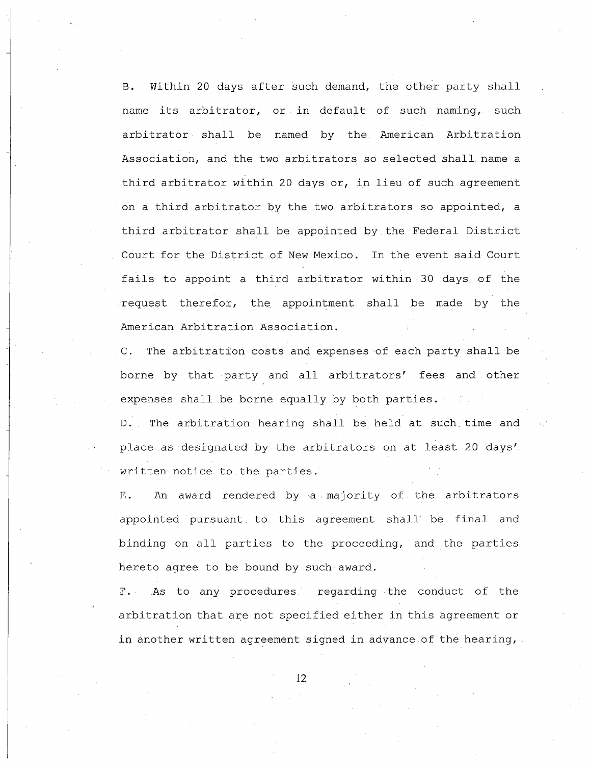**B.** within <sup>20</sup> days after such demand, the other party shall name its arbitrator, or in default of such naming, such arbitrator shall be named by the American Arbitration Association, and the two arbitrators so selected shall name a third arbitrator within 20 days or, in lieu of such agreement on <sup>a</sup> third arbitrator by the two arbitrators so appointed, <sup>a</sup> third arbitrator shall be appointed by the Federal District Court for the District of New Mexico. In the event said Court fails to appoint <sup>a</sup> third arbitrator within 30 days of the request therefor, the appointment shall be made by the American Arbitration Association.

**C.** The arbitration costs and expenses of each party shall be borne by that party and all arbitrators' fees and other expenses shall be borne equally by both parties.

D. The arbitration hearing shall be held at such time and place as designated by the arbitrators on at least 20 days' written notice to the parties.

**E.** An award rendered bya majority of the arbitrators appointed pursuant to this agreement shall be final and binding on all parties to the proceeding, and the parties hereto agree to be bound by such award.

F. As to any procedures regarding the conduct of the arbitration that are not specified either in this agreement or in another written agreement signed in advance of the hearing,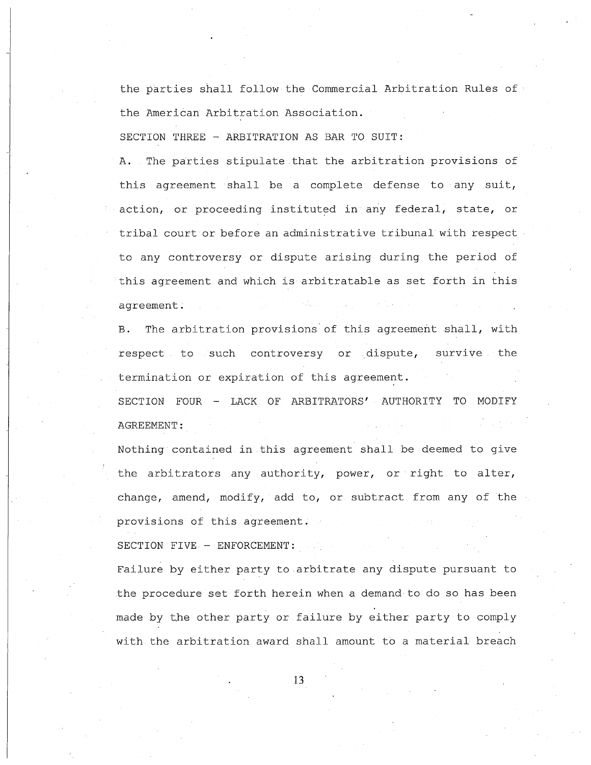the parties shall follow the Commercial Arbitration Rules of the American Arbitration Association.

SECTION THREE - ARBITRATION AS BAR TO SUIT:

A. The parties stipulate that the arbitration provisions of this agreement shall be <sup>a</sup> complete defense to any suit, action, or proceeding instituted in any federal, state, or tribal court or before an administrative tribunal with respect to any controversy or dispute arising during the period of this agreement and which is arbitratable as set forth in this agreement.

B. The arbitration provisions of this agreement shall, with respect to such controversy or dispute, survive the termination or expiration of this agreement. SECTION FOUR - LACK OF ARBITRATORS' AUTHORITY TO MODIFY AGREEMENT:

Nothing contained in this agreement shall be deemed to give the arbitrators any authority, power, or right to alter, change, amend, modify, add to, or subtract from any of the provisions of this agreement. SECTION FIVE - ENFORCEMENT:

Failure by either party to arbitrate any dispute pursuant to the procedure set forth herein when <sup>a</sup> demand to do so has been made by the other party or failure by either party to comply with the arbitration award shall amount to <sup>a</sup> material breach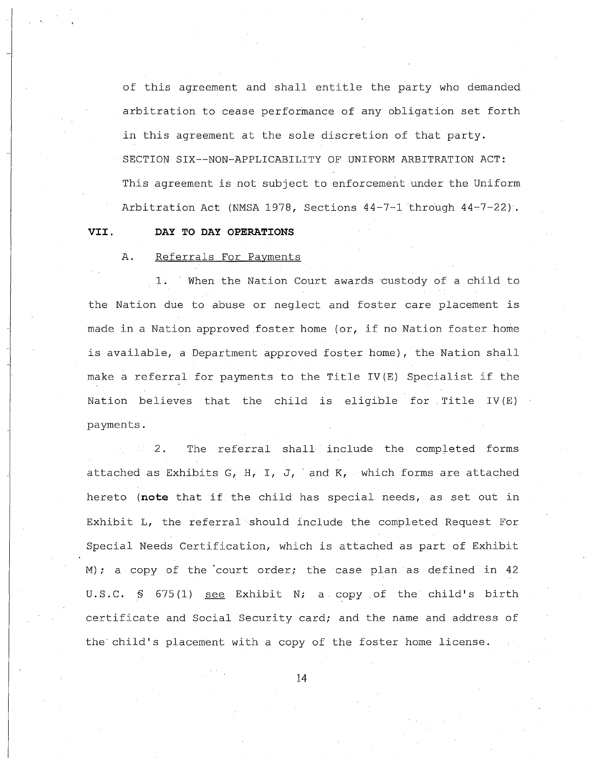of this agreement and shall entitle the party who demanded arbitration to cease performance of any obligation set forth in this agreement at the sole discretion of that party. SECTION SIX--NON-APPLICABILITY OF UNIFORM ARBITRATION ACT: This agreement is not subject to enforcement under the Uniform Arbitration Act (NMSA 1978, Sections  $44-7-1$  through  $44-7-22$ ).

#### **VII. DAY TO DAY OPERATIONS**

A. Referrals For Payments

1. When the Nation Court awards 'custody of a child to the Nation due to abuse or neglect and foster care placement is made in <sup>a</sup> Nation approved foster home (or, if no Nation foster home is available, <sup>a</sup> Department approved foster home), the Nation shall make <sup>a</sup> referral for payments to the Title IV(E) Specialist if the Nation believes that the child is eligible for Title IV(E) payments.

2. The referral shall include the completed forms attached as Exhibits G, H, I, J, and K, which forms are attached hereto **(note** that if the child has special needs, as set out in Exhibit L, the referral should lnclude the completed Request For Special Needs Certification, which is attached as part of Exhibit M); a copy of the court order; the case plan as defined in 42 U.S.C. § 675(1) see Exhibit N; a copy of the child's birth certificate and Social Security card; and the name and address of the child's placement with <sup>a</sup> copy of the foster home license.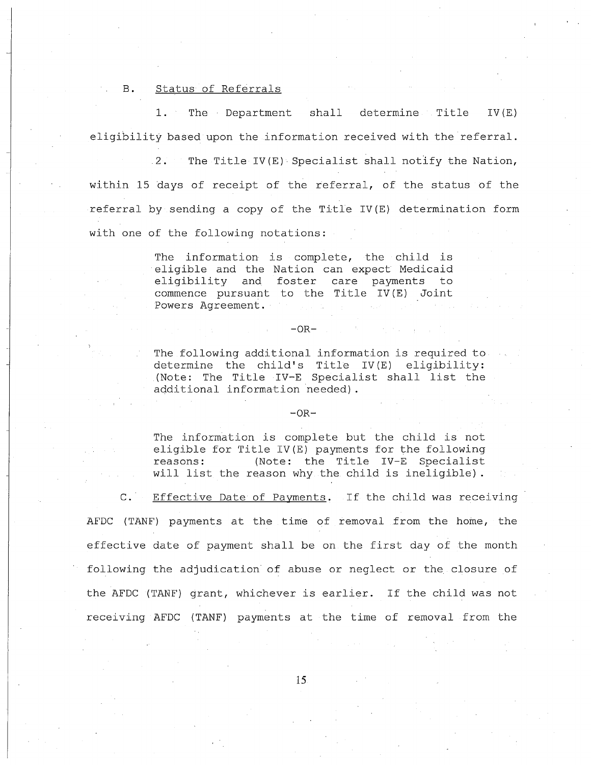B. Status of Referrals

1. The Department shall determine Title IV(E) eligibility based upon the information received with the referral.

 $2.$  The Title IV(E) Specialist shall notify the Nation, within 15 days of receipt of the referral, of the status of the referral by sending <sup>a</sup> copy of the Title IV(E) determination form with one of the following notations:

> The information is complete, the child is eligible and the Nation can expect Medicaid eligibility and foster care payments to commence pursuant to the Title IV(E) Joint Powers Agreement.

#### $-OR-$

The following additional information is required to determine the child's Title IV(E) eligibility: (Note: The Title IV-E Specialist shall list the additional information needed) .

#### $-OR-$

The information is complete but the child is not eligible for Title IV(E) payments for the following reasons: (Note: the Title IV-E Specialist will list the reason why the child is ineligible) .

C. Effective Date of Payments. If the child was receiving AFDC (TANF) payments at the time of removal from the home, the effective date of payment shall be on the first day of the month following the adjudication of abuse or neglect or the closure of the AFDC (TANF) grant, whichever is earlier. If the child was not receiving AFDC (TANF) payments at the time of removal from the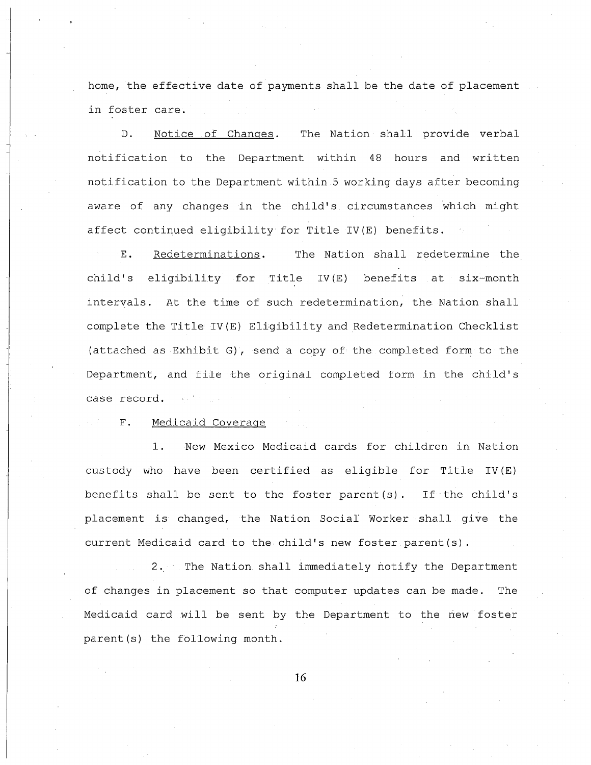home, the effective date of payments shall be the date of placement in foster care.

D. Notice of Changes. notification to the Department within 48 hours and written The Nation shall provide verbal notification to the Department within <sup>5</sup> working days after becoming aware of any changes in the child's circumstances which might affect continued eligibility for Title IV(E) benefits.

E. Redeterminations. The Nation shall redetermine the child's eligibility for Title IV(E) benefits at six-month intervals. At the time of such redetermination, the Nation shall complete the Title IV(E) Eligibility and Redetermination Checklist (attached as Exhibit G), send a copy of the completed form to the Department, and file the original completed form in the child's case record.

# F. Medicaid Coverage

1. New Mexico Medicaid cards for children in Nation custody who have been certified as eligible for Title IV (E) benefits shall be sent to the foster parent (s) , If the child's placement is changed, the Nation Social' Worker shall give the current Medicaid card to the child's new foster parent(s).

2. The Nation shall immediately notify the Department of changes in placement so that computer updates can be made. The Medicaid card will be sent by the Department to the new foster parent(s) the following month.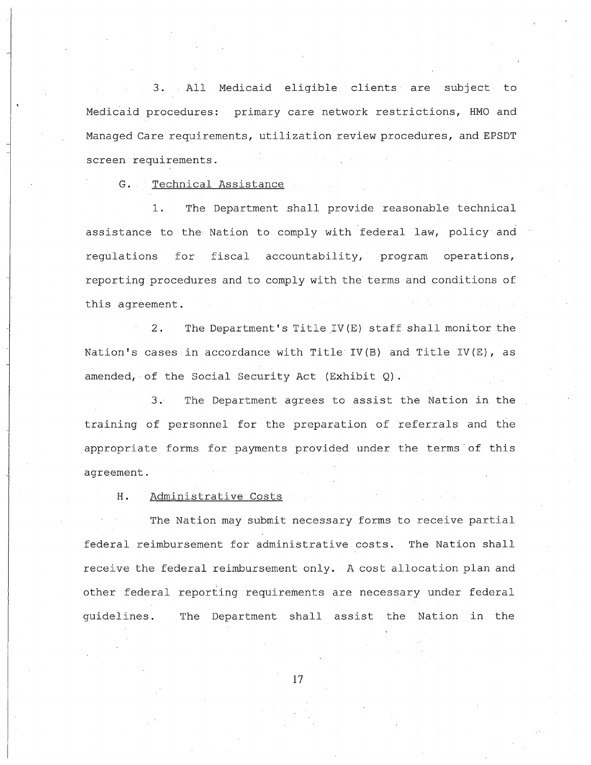3. All Medicaid eligible clients are subject to Medicaid procedures: primary care network restrictions, HMO and Managed Care requirements, utilization review procedures, and EPSDT screen requirements.

G. Technical Assistance

1. The Department shall provide reasonable technical assistance to the Nation to comply with federal law, policy and regulations for fiscal accountability, program operations, reporting procedures and to comply with the terms and conditions of this agreement.

2. The Department's Title IV (E) staff shall monitor the Nation's cases in accordance with Title IV(B) and Title IV(E), as amended, of the Social Security Act (Exhibit Q).

3. The Department agrees to assist the Nation in the training of personnel for the preparation of referrals and the appropriate forms for payments provided under the terms· of this agreement.

H. Administrative Costs

The Nation may submit necessary forms to receive partial federal reimbursement for administrative costs. The Nation shall receive the federal reimbursement only. A cost allocation plan and other federal reporting requirements are necessary under federal guidelines. The Department shall assist the Nation in the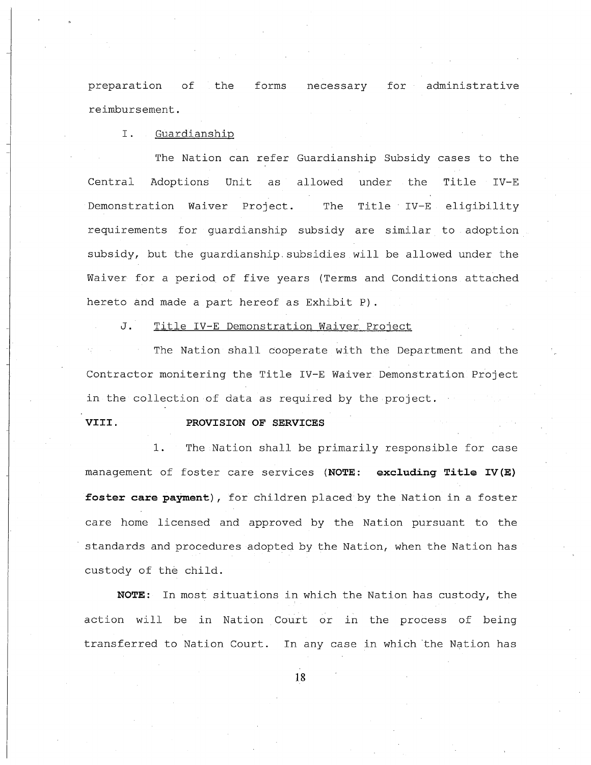preparation of the forms necessary for administrative reimbursement.

# I. Guardianship

The Nation can refer Guardianship Subsidy cases to the Central Adoptions Unit as allowed under the Title IV-E Demonstration Waiver Project. The Title IV-E eligibility requirements for guardianship subsidy are similar to adoption subsidy, but the guardianship. subsidies will be allowed under the Waiver for a period of five years (Terms and Conditions attached hereto and made <sup>a</sup> part hereof as Exhibit P).

J. Title IV-E Demonstration Waiver Project

The Nation shall cooperate with the Department and the Contractor monitering the Title IV-E Waiver Demonstration Project in the collection of data as required by the project.

#### **VIII. PROVISION OF SERVICES**

1. The Nation shall be primarily responsible for case management of foster care services **(NOTE: excluding Title IV(E) foster care paYment),** for children placed by the Nation in <sup>a</sup> foster care home licensed and approved by the Nation pursuant to the standards and procedures adopted by the Nation, when the Nation has custody of the child.

**NOTE:** In most situations in which the Nation has custody, the action will be in Nation Court or in the process of being transferred to Nation Court. In any case in which the Nation has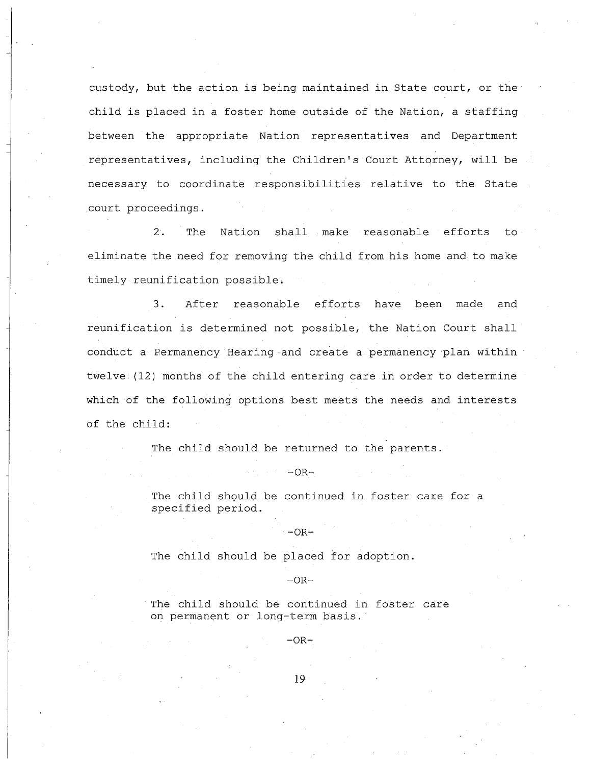custody, but the action is being maintained in state court, or the child is placed in <sup>a</sup> foster home outside of the Nation, <sup>a</sup> staffing between the appropriate Nation representatives and Department representatives, including the Children's Court Attorney, will be necessary to coordinate responsibilities relative to the State court proceedings.

2. The Nation shall make reasonable efforts to eliminate the need for removing the child from his home and to make timely reunification possible;

3. After reasonable efforts have been made and reunification is determined not possible, the Nation Court shall conduct a Permanency Hearing and create a permanency plan within twelve (12) months of the child entering care in order to determine which of the following options best meets the needs and interests of the child:

The child should be returned to the parents.

 $-OR-$ 

 $-OR-$ 

The child should be continued in foster care for a specified period.

The child should be placed for adoption.

 $-OR-$ 

The child should be continued in foster care on permanent or long-term basis.

 $-OR-$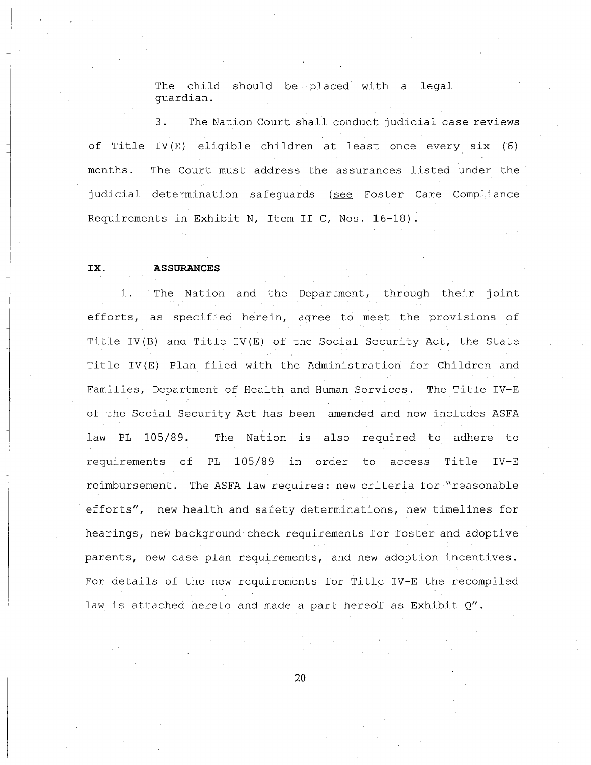The child should be placed with a legal guardian.

3. The Nation Court shall conduct judicial case reviews of Title IV (E) eligible children at least once every six (6) months. The Court must address the assurances listed under the judicial determination safeguards (see Foster Care Compliance Requirements in Exhibit N, Item II C, Nos. 16-18).

#### **IX. ASSURANCES**

**1.** The Nation and the Department, through their joint efforts, as specified herein, agree to meet the provisions of Title IV(B) and Title IV(E) of the Social Security Act, the State Title IV(E) Plan filed with the Administration for Children and Families, Department of Health and Human Services. The Title IV-E of the Social Security Act has been amended and now includes ASFA law PL 105/89. The Nation is also required to adhere to requirements of PL 105/89 in order to access Title IV-E reimbursement. The ASFA law requires: new criteria for "reasonable efforts", new health and safety determinations, new timelines for hearings, new background· check requirements for foster and adoptive parents, new case plan requirements, and new adoption incentives. For details of the new requirements for Title IV-E the recompiled law is attached hereto and made a part hereof as Exhibit  $Q''$ .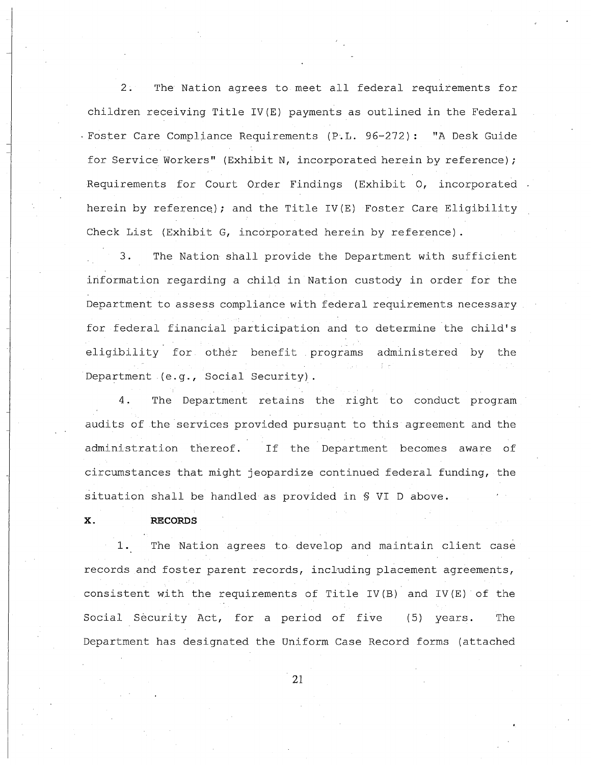2. The Nation agrees to meet all federal requirements for children receiving Title IV(E) payments as outlined in the Federal . Foster Care Compliance Requirements (P.L. 96-272): "A Desk Guide for Service Workers" (Exhibit N, incorporated herein by reference); Requirements for Court Order Findings (Exhibit 0, incorporated . herein by reference); and the Title IV(E) Foster Care Eligibility Check List (Exhibit G, incorporated herein by reference) .

3. The Nation shall provide the Department with sufficient information regarding a child in Nation custody in order for the Department to assess compliance with federal requirements necessary for federal financial participation and to determine the child's eligibility for other benefit programs administered by the Department (e.g., Social Security).

4. The Department retains the right to conduct program audits of the services provided pursuant to this agreement and the administration thereof. If the Department becomes aware of circumstances that might jeopardize continued federal funding, the situation shall be handled as provided in § VI D above.

#### **x. RECORDS**

1. The Nation agrees to develop and maintain client case records and foster parent records, including placement agreements, consistent with the requirements of Title IV(B) and IV(E) of the Social Security Act, for a period of five (5) years. The Department has designated the Uniform Case Record forms (attached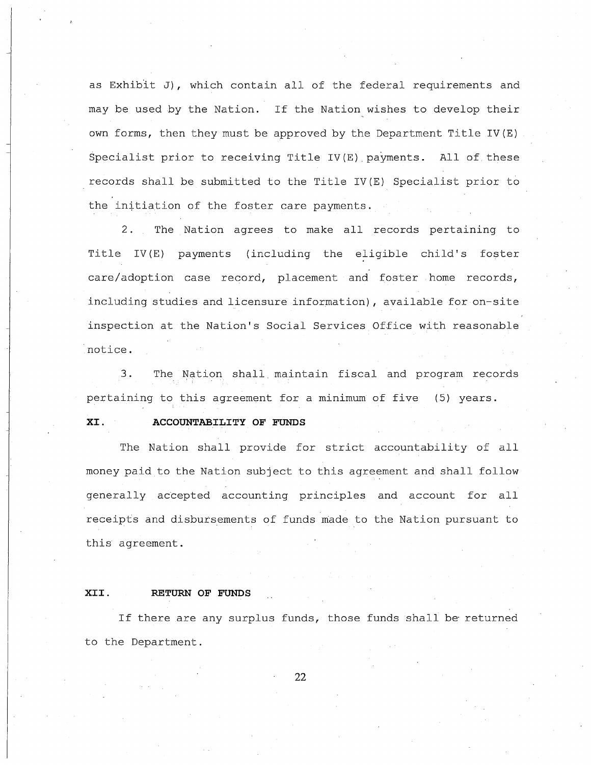as Exhibit *J),* which contain all of the federal requirements and may be used by the Nation. If the Nation wishes to develop their own forms, then they must be approved by the Department Title IV(E) Specialist prior to receiving Title IV(E) payments. All of these records shall be submitted to the Title IV(E) Specialist prior to the initiation of the foster care payments.

care/adoption case record, placement and foster home records, 2. The Nation agrees to make all records pertaining to Title IV(E) payments (including the eligible child's foster including studies and licensure information), available for on-site inspection at the Nation's Social Services Office with reasonable notice.

3. The Nation shall. maintain fiscal and program records pertaining to this agreement for <sup>a</sup> minimum of five (5) years.

# **XI. ACCOUNTABILITY OF FUNDS**

The Nation shall provide for strict accountability of all money paid to the Nation subject to this agreement and shall follow generally accepted accounting principles and account for all receipts and disbursements of funds made to the Nation pursuant to this agreement.

## **XII. RETURN OF FUNDS**

If there are any surplus funds, those funds shall be returned to the Department.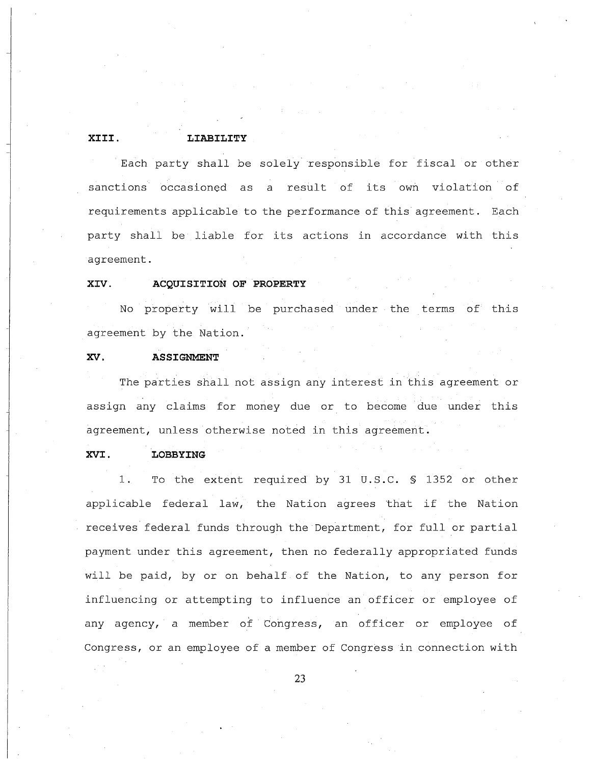# **XIII. LIABILITY**

Each party shall be solely responsible for fiscal or other sanctions occasioned as <sup>a</sup> result of its own violation of requirements applicable to the performance of this agreement. Each party shall be liable for its actions in accordance with this agreement.

# **XIV. ACQUISITION OF PROPERTY**

No property will be purchased under the terms of this agreement by the Nation.

# **xv. ASSIGNMENT**

The parties shall not assign any interest in this agreement or assign any claims for money due or to become due under this agreement, unless otherwise noted in this agreement.

# **XVI. LOBBYING**

1. To the extent required by 31 U.S.C. § 1352 or other applicable federal law, the Nation agrees that if the Nation receives federal funds through the Department, for full or partial payment under this agreement, then no federally appropriated funds will be paid, by or on behalf of the Nation, to any person for influencing or attempting to influence an officer or employee of any agency, a member of Congress, an officer or employee of Congress, or an employee of a member of Congress in connection with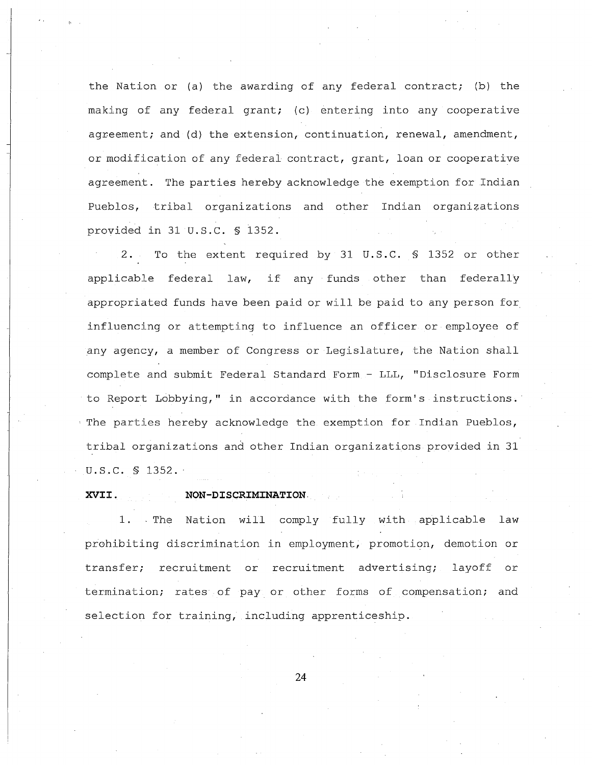the Nation or (a) the awarding of any federal contract; (b) the making of any federal grant; (c) entering into any cooperative agreement; and (d) the extension, continuation, renewal, amendment, or modification of any federal contract, grant, loan or cooperative agreement. The parties hereby acknowledge the exemption for Indian Pueblos, tribal organizations and other Indian organizations provided in 31 U.S.C. § 1352.

2. To the extent required by 31 U.S.C. § 1352 or other applicable federal law, if any funds other than federally appropriated funds have been paid or will be paid to any person for influencing or attempting to influence an officer or employee of any agency, a member of Congress or Legislature, the Nation shall complete and submit Federal Standard Form - LLL, "Disclosure Form to Report Lobbying," in accordance with the form's instructions.· The parties hereby acknowledge the exemption for Indian Pueblos, tribal organizations and other Indian organizations provided in 31 U.S.C. § 1352.

#### **XVII. NON-DISCRIMINATION.**

1. The Nation will comply fully with applicable law prohibiting discrimination in employment, promotion, demotion or transfer; recruitment or recruitment advertising; layoff or termination; rates of pay. or other forms of compensation; and selection for training, including apprenticeship.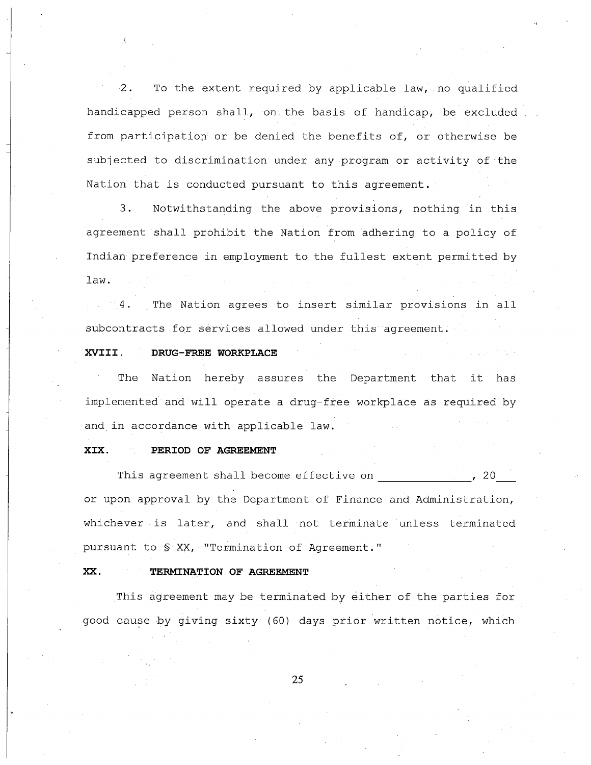2. To the extent required by applicable law, no qualified handicapped person shall, on the basis of handicap, be excluded from participation or be denied the benefits of, or otherwise be subjected to discrimination under any program or activity of the Nation that is conducted pursuant to this agreement.

3. Notwithstanding the above provisions, nothing in this agreement shall prohibit the Nation from adhering to a policy of Indian preference in employment to the fullest extent permitted by law.

The Nation agrees to insert similar provisions in all subcontracts for services allowed under this agreement.

# **XVIII. DRUG-FREE WORKPLACE**

The Nation hereby assures the Department that it has implemented and will operate a drug-free workplace as required by and in accordance with applicable law.

### **XIX. PERIOD OF AGREEMENT**

This agreement shall become effective on  $\sim$ , 20 or upon approval by the Department of Finance and Administration, whichever is later, and shall not terminate unless terminated pursuant to § XX, "Termination of Agreement."

#### **xx. TERMINATION OF AGREEMENT**

This agreement may be terminated by either of the parties for good cause by giving sixty (60) days prior written notice, which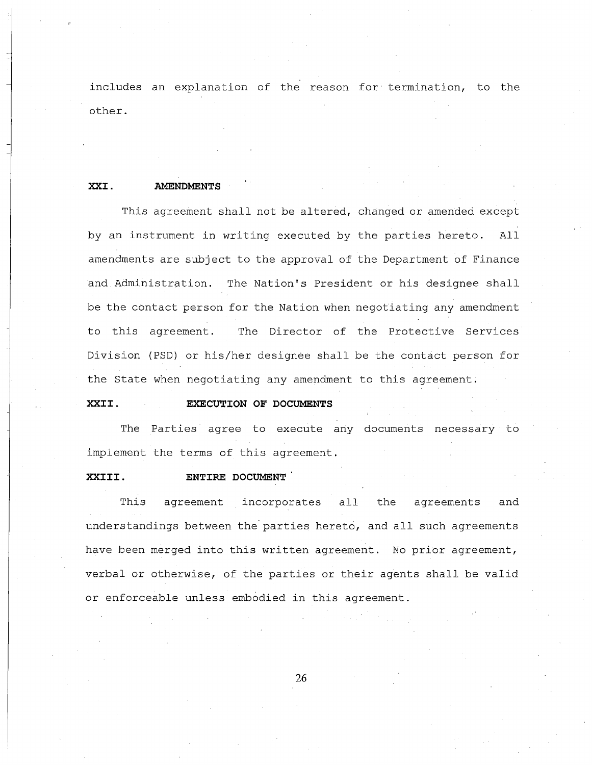includes an explanation of the reason for termination, to the other.

### XXI. **AMENDMENTS**

This agreement shall not be altered, changed or amended except by an instrument in writing executed by the parties hereto. All amendments are subject to the approval of the Department of Finance and Administration. The Nation's President or his designee shall be the contact person for the Nation when negotiating any amendment to this agreement. The Director of the Protective Services Division (PSD) or his/her designee shall be the contact person for the state when negotiating any amendment to this agreement.

# **XXII. EXECUTION OF DOCUMENTS**

The Parties agree to execute any documents necessary to implement the terms of this agreement.

## **XXIII. ENTIRE DOCUMENT**

This agreement incorporates all the agreements and understandings between the parties hereto, and all such agreements have been merged into this written agreement. No prior agreement, verbal or otherwise, of the parties or their agents shall be valid or enforceable unless embodied in this agreement.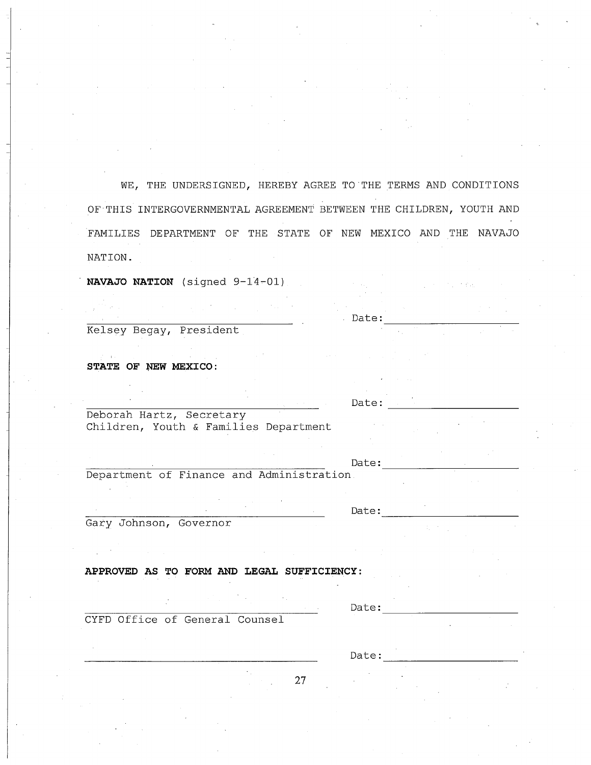WE, THE UNDERSIGNED, HEREBY AGREE TO THE TERMS AND CONDITIONS OF THIS INTERGOVERNMENTAL AGREEMENT BETWEEN THE CHILDREN, YOUTH AND FAMILIES DEPARTMENT OF THE STATE OF NEW MEXICO AND THE NAVAJO NATION.

**NAVAJO NATION** (signed 9-14~Ol)

Kelsey Begay, President

**STATE OF NEW MEXICO:** 

Deborah Hartz, Secretary Children, Youth & Families Department

Date:

Date:

Date:

Department of Finance and Administration.

Gary Johnson, Governor

**APPROVED AS TO FORM AND LEGAL SUFFICIENCY:**

CYFD Office of General Counsel

Date:

Date:-----------

Date:-----------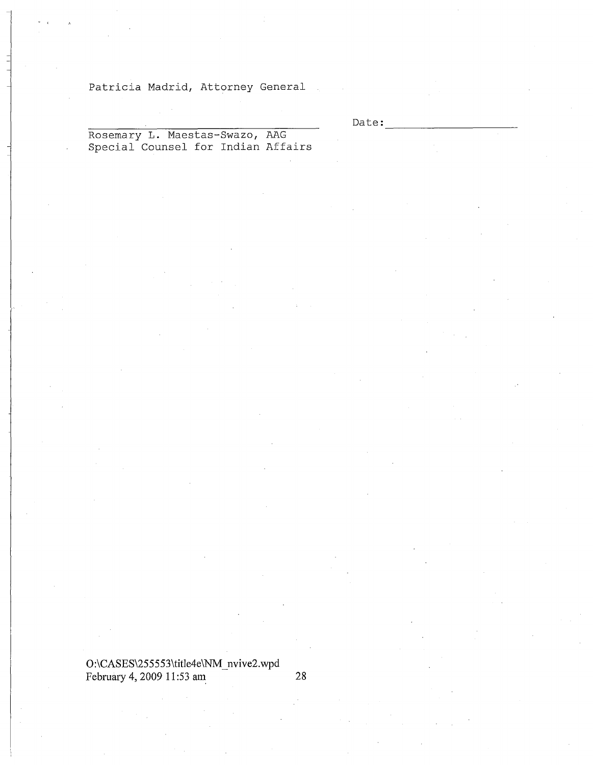# Patricia Madrid, Attorney General

Date:

Rosemary L. Maestas-Swazo, AAG Special Counsel for Indian Affairs

# O:\CASES\255553\title4e\NM\_nvive2.wpd February 4, 2009 11:53 am 28